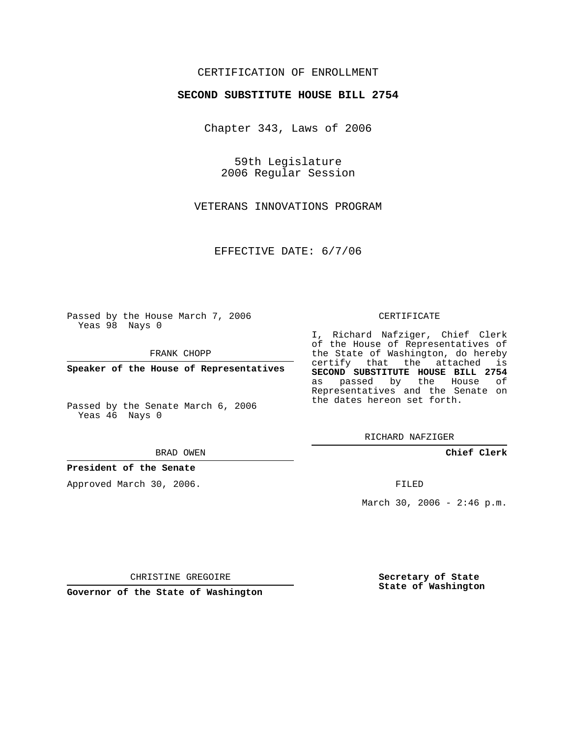## CERTIFICATION OF ENROLLMENT

#### **SECOND SUBSTITUTE HOUSE BILL 2754**

Chapter 343, Laws of 2006

59th Legislature 2006 Regular Session

VETERANS INNOVATIONS PROGRAM

EFFECTIVE DATE: 6/7/06

Passed by the House March 7, 2006 Yeas 98 Nays 0

FRANK CHOPP

**Speaker of the House of Representatives**

Passed by the Senate March 6, 2006 Yeas 46 Nays 0

BRAD OWEN

### **President of the Senate**

Approved March 30, 2006.

CERTIFICATE

I, Richard Nafziger, Chief Clerk of the House of Representatives of the State of Washington, do hereby certify that the attached is **SECOND SUBSTITUTE HOUSE BILL 2754** as passed by the House of Representatives and the Senate on the dates hereon set forth.

RICHARD NAFZIGER

**Chief Clerk**

FILED

March 30, 2006 -  $2:46$  p.m.

CHRISTINE GREGOIRE

**Governor of the State of Washington**

**Secretary of State State of Washington**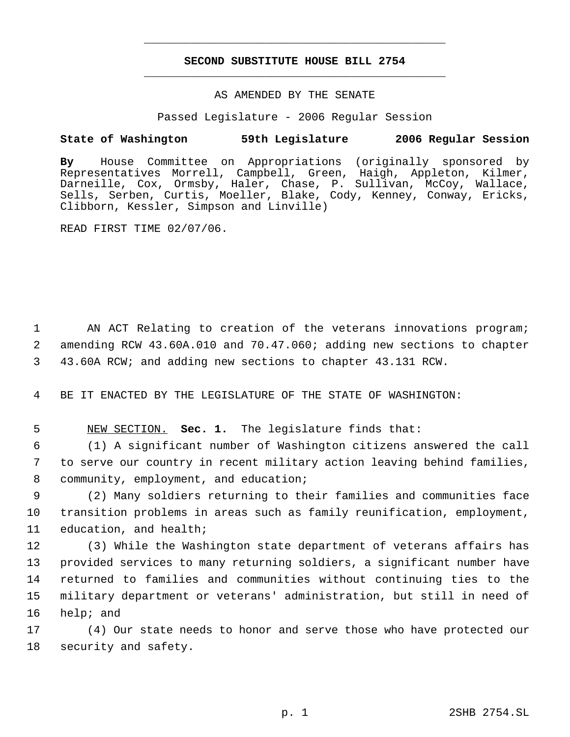# **SECOND SUBSTITUTE HOUSE BILL 2754** \_\_\_\_\_\_\_\_\_\_\_\_\_\_\_\_\_\_\_\_\_\_\_\_\_\_\_\_\_\_\_\_\_\_\_\_\_\_\_\_\_\_\_\_\_

\_\_\_\_\_\_\_\_\_\_\_\_\_\_\_\_\_\_\_\_\_\_\_\_\_\_\_\_\_\_\_\_\_\_\_\_\_\_\_\_\_\_\_\_\_

#### AS AMENDED BY THE SENATE

Passed Legislature - 2006 Regular Session

## **State of Washington 59th Legislature 2006 Regular Session**

**By** House Committee on Appropriations (originally sponsored by Representatives Morrell, Campbell, Green, Haigh, Appleton, Kilmer, Darneille, Cox, Ormsby, Haler, Chase, P. Sullivan, McCoy, Wallace, Sells, Serben, Curtis, Moeller, Blake, Cody, Kenney, Conway, Ericks, Clibborn, Kessler, Simpson and Linville)

READ FIRST TIME 02/07/06.

1 AN ACT Relating to creation of the veterans innovations program; 2 amending RCW 43.60A.010 and 70.47.060; adding new sections to chapter 3 43.60A RCW; and adding new sections to chapter 43.131 RCW.

4 BE IT ENACTED BY THE LEGISLATURE OF THE STATE OF WASHINGTON:

5 NEW SECTION. **Sec. 1.** The legislature finds that:

 6 (1) A significant number of Washington citizens answered the call 7 to serve our country in recent military action leaving behind families, 8 community, employment, and education;

 9 (2) Many soldiers returning to their families and communities face 10 transition problems in areas such as family reunification, employment, 11 education, and health;

 (3) While the Washington state department of veterans affairs has provided services to many returning soldiers, a significant number have returned to families and communities without continuing ties to the military department or veterans' administration, but still in need of help; and

17 (4) Our state needs to honor and serve those who have protected our 18 security and safety.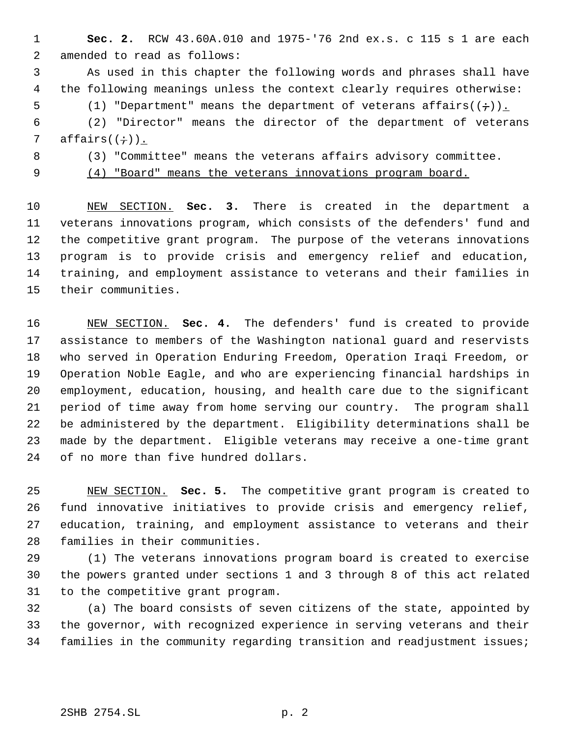**Sec. 2.** RCW 43.60A.010 and 1975-'76 2nd ex.s. c 115 s 1 are each amended to read as follows:

 As used in this chapter the following words and phrases shall have the following meanings unless the context clearly requires otherwise: 5 (1) "Department" means the department of veterans affairs( $(+)$ ).

 (2) "Director" means the director of the department of veterans 7 affairs $((\div))$ .

(3) "Committee" means the veterans affairs advisory committee.

(4) "Board" means the veterans innovations program board.

 NEW SECTION. **Sec. 3.** There is created in the department a veterans innovations program, which consists of the defenders' fund and the competitive grant program. The purpose of the veterans innovations program is to provide crisis and emergency relief and education, training, and employment assistance to veterans and their families in their communities.

 NEW SECTION. **Sec. 4.** The defenders' fund is created to provide assistance to members of the Washington national guard and reservists who served in Operation Enduring Freedom, Operation Iraqi Freedom, or Operation Noble Eagle, and who are experiencing financial hardships in employment, education, housing, and health care due to the significant period of time away from home serving our country. The program shall be administered by the department. Eligibility determinations shall be made by the department. Eligible veterans may receive a one-time grant of no more than five hundred dollars.

 NEW SECTION. **Sec. 5.** The competitive grant program is created to fund innovative initiatives to provide crisis and emergency relief, education, training, and employment assistance to veterans and their families in their communities.

 (1) The veterans innovations program board is created to exercise the powers granted under sections 1 and 3 through 8 of this act related to the competitive grant program.

 (a) The board consists of seven citizens of the state, appointed by the governor, with recognized experience in serving veterans and their families in the community regarding transition and readjustment issues;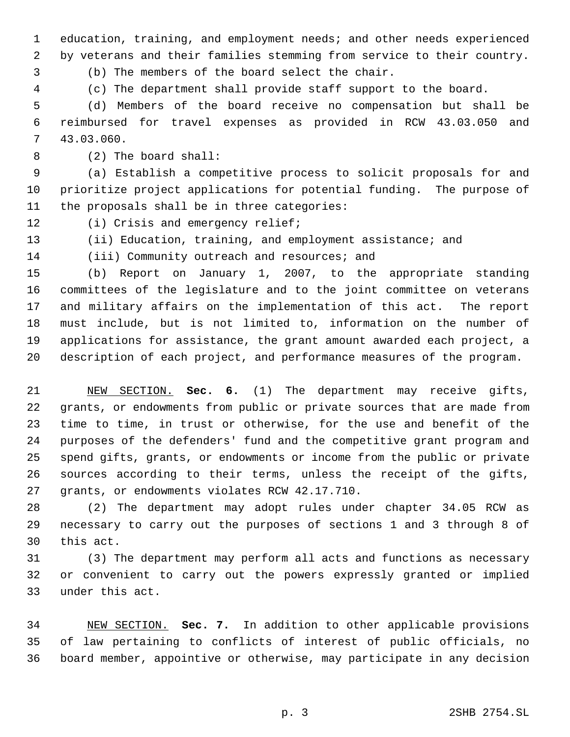education, training, and employment needs; and other needs experienced by veterans and their families stemming from service to their country.

(b) The members of the board select the chair.

(c) The department shall provide staff support to the board.

 (d) Members of the board receive no compensation but shall be reimbursed for travel expenses as provided in RCW 43.03.050 and 43.03.060.

(2) The board shall:

 (a) Establish a competitive process to solicit proposals for and prioritize project applications for potential funding. The purpose of the proposals shall be in three categories:

12 (i) Crisis and emergency relief;

(ii) Education, training, and employment assistance; and

14 (iii) Community outreach and resources; and

 (b) Report on January 1, 2007, to the appropriate standing committees of the legislature and to the joint committee on veterans and military affairs on the implementation of this act. The report must include, but is not limited to, information on the number of applications for assistance, the grant amount awarded each project, a description of each project, and performance measures of the program.

 NEW SECTION. **Sec. 6.** (1) The department may receive gifts, grants, or endowments from public or private sources that are made from time to time, in trust or otherwise, for the use and benefit of the purposes of the defenders' fund and the competitive grant program and spend gifts, grants, or endowments or income from the public or private sources according to their terms, unless the receipt of the gifts, grants, or endowments violates RCW 42.17.710.

 (2) The department may adopt rules under chapter 34.05 RCW as necessary to carry out the purposes of sections 1 and 3 through 8 of this act.

 (3) The department may perform all acts and functions as necessary or convenient to carry out the powers expressly granted or implied under this act.

 NEW SECTION. **Sec. 7.** In addition to other applicable provisions of law pertaining to conflicts of interest of public officials, no board member, appointive or otherwise, may participate in any decision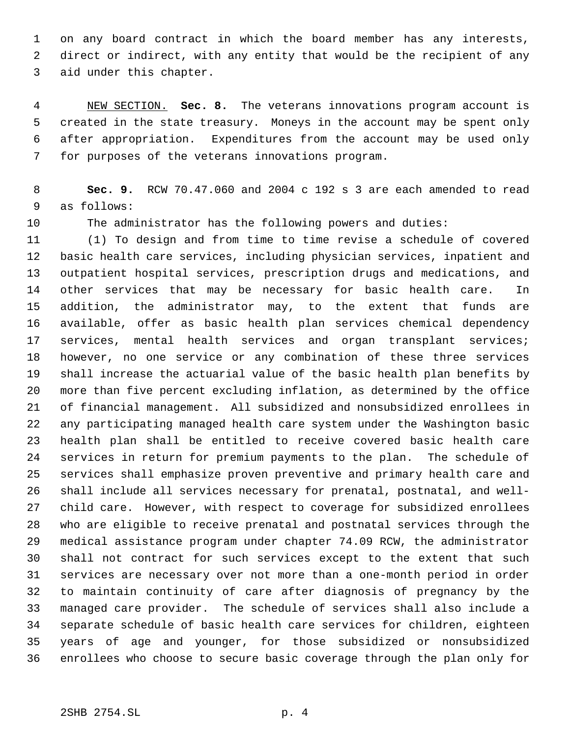on any board contract in which the board member has any interests, direct or indirect, with any entity that would be the recipient of any aid under this chapter.

 NEW SECTION. **Sec. 8.** The veterans innovations program account is created in the state treasury. Moneys in the account may be spent only after appropriation. Expenditures from the account may be used only for purposes of the veterans innovations program.

 **Sec. 9.** RCW 70.47.060 and 2004 c 192 s 3 are each amended to read as follows:

The administrator has the following powers and duties:

 (1) To design and from time to time revise a schedule of covered basic health care services, including physician services, inpatient and outpatient hospital services, prescription drugs and medications, and other services that may be necessary for basic health care. In addition, the administrator may, to the extent that funds are available, offer as basic health plan services chemical dependency services, mental health services and organ transplant services; however, no one service or any combination of these three services shall increase the actuarial value of the basic health plan benefits by more than five percent excluding inflation, as determined by the office of financial management. All subsidized and nonsubsidized enrollees in any participating managed health care system under the Washington basic health plan shall be entitled to receive covered basic health care services in return for premium payments to the plan. The schedule of services shall emphasize proven preventive and primary health care and shall include all services necessary for prenatal, postnatal, and well- child care. However, with respect to coverage for subsidized enrollees who are eligible to receive prenatal and postnatal services through the medical assistance program under chapter 74.09 RCW, the administrator shall not contract for such services except to the extent that such services are necessary over not more than a one-month period in order to maintain continuity of care after diagnosis of pregnancy by the managed care provider. The schedule of services shall also include a separate schedule of basic health care services for children, eighteen years of age and younger, for those subsidized or nonsubsidized enrollees who choose to secure basic coverage through the plan only for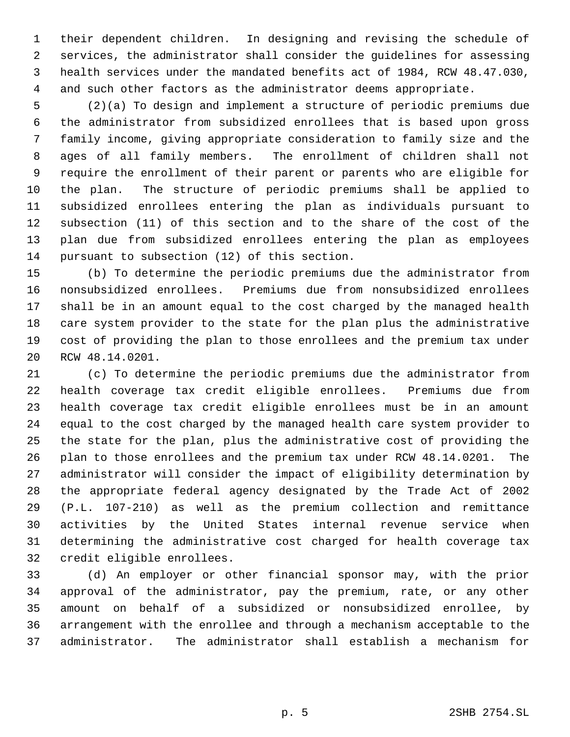their dependent children. In designing and revising the schedule of services, the administrator shall consider the guidelines for assessing health services under the mandated benefits act of 1984, RCW 48.47.030, and such other factors as the administrator deems appropriate.

 (2)(a) To design and implement a structure of periodic premiums due the administrator from subsidized enrollees that is based upon gross family income, giving appropriate consideration to family size and the ages of all family members. The enrollment of children shall not require the enrollment of their parent or parents who are eligible for the plan. The structure of periodic premiums shall be applied to subsidized enrollees entering the plan as individuals pursuant to subsection (11) of this section and to the share of the cost of the plan due from subsidized enrollees entering the plan as employees pursuant to subsection (12) of this section.

 (b) To determine the periodic premiums due the administrator from nonsubsidized enrollees. Premiums due from nonsubsidized enrollees shall be in an amount equal to the cost charged by the managed health care system provider to the state for the plan plus the administrative cost of providing the plan to those enrollees and the premium tax under RCW 48.14.0201.

 (c) To determine the periodic premiums due the administrator from health coverage tax credit eligible enrollees. Premiums due from health coverage tax credit eligible enrollees must be in an amount equal to the cost charged by the managed health care system provider to the state for the plan, plus the administrative cost of providing the plan to those enrollees and the premium tax under RCW 48.14.0201. The administrator will consider the impact of eligibility determination by the appropriate federal agency designated by the Trade Act of 2002 (P.L. 107-210) as well as the premium collection and remittance activities by the United States internal revenue service when determining the administrative cost charged for health coverage tax credit eligible enrollees.

 (d) An employer or other financial sponsor may, with the prior approval of the administrator, pay the premium, rate, or any other amount on behalf of a subsidized or nonsubsidized enrollee, by arrangement with the enrollee and through a mechanism acceptable to the administrator. The administrator shall establish a mechanism for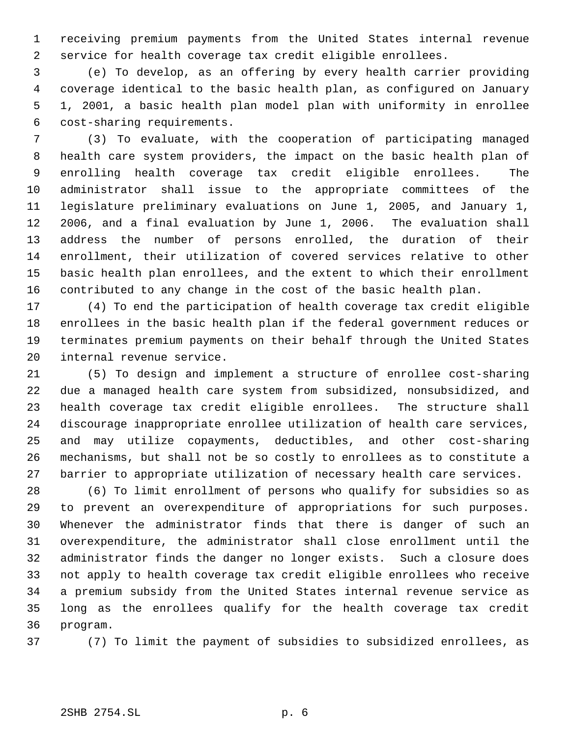receiving premium payments from the United States internal revenue service for health coverage tax credit eligible enrollees.

 (e) To develop, as an offering by every health carrier providing coverage identical to the basic health plan, as configured on January 1, 2001, a basic health plan model plan with uniformity in enrollee cost-sharing requirements.

 (3) To evaluate, with the cooperation of participating managed health care system providers, the impact on the basic health plan of enrolling health coverage tax credit eligible enrollees. The administrator shall issue to the appropriate committees of the legislature preliminary evaluations on June 1, 2005, and January 1, 2006, and a final evaluation by June 1, 2006. The evaluation shall address the number of persons enrolled, the duration of their enrollment, their utilization of covered services relative to other basic health plan enrollees, and the extent to which their enrollment contributed to any change in the cost of the basic health plan.

 (4) To end the participation of health coverage tax credit eligible enrollees in the basic health plan if the federal government reduces or terminates premium payments on their behalf through the United States internal revenue service.

 (5) To design and implement a structure of enrollee cost-sharing due a managed health care system from subsidized, nonsubsidized, and health coverage tax credit eligible enrollees. The structure shall discourage inappropriate enrollee utilization of health care services, and may utilize copayments, deductibles, and other cost-sharing mechanisms, but shall not be so costly to enrollees as to constitute a barrier to appropriate utilization of necessary health care services.

 (6) To limit enrollment of persons who qualify for subsidies so as to prevent an overexpenditure of appropriations for such purposes. Whenever the administrator finds that there is danger of such an overexpenditure, the administrator shall close enrollment until the administrator finds the danger no longer exists. Such a closure does not apply to health coverage tax credit eligible enrollees who receive a premium subsidy from the United States internal revenue service as long as the enrollees qualify for the health coverage tax credit program.

(7) To limit the payment of subsidies to subsidized enrollees, as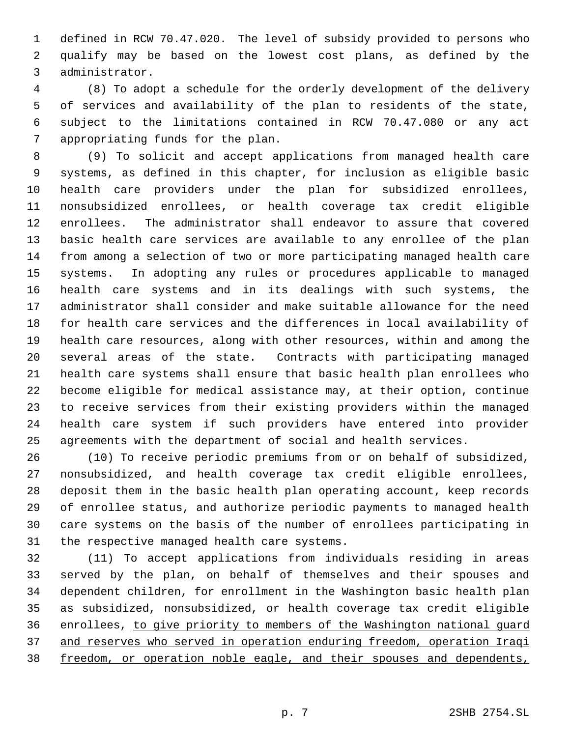defined in RCW 70.47.020. The level of subsidy provided to persons who qualify may be based on the lowest cost plans, as defined by the administrator.

 (8) To adopt a schedule for the orderly development of the delivery of services and availability of the plan to residents of the state, subject to the limitations contained in RCW 70.47.080 or any act appropriating funds for the plan.

 (9) To solicit and accept applications from managed health care systems, as defined in this chapter, for inclusion as eligible basic health care providers under the plan for subsidized enrollees, nonsubsidized enrollees, or health coverage tax credit eligible enrollees. The administrator shall endeavor to assure that covered basic health care services are available to any enrollee of the plan from among a selection of two or more participating managed health care systems. In adopting any rules or procedures applicable to managed health care systems and in its dealings with such systems, the administrator shall consider and make suitable allowance for the need for health care services and the differences in local availability of health care resources, along with other resources, within and among the several areas of the state. Contracts with participating managed health care systems shall ensure that basic health plan enrollees who become eligible for medical assistance may, at their option, continue to receive services from their existing providers within the managed health care system if such providers have entered into provider agreements with the department of social and health services.

 (10) To receive periodic premiums from or on behalf of subsidized, nonsubsidized, and health coverage tax credit eligible enrollees, deposit them in the basic health plan operating account, keep records of enrollee status, and authorize periodic payments to managed health care systems on the basis of the number of enrollees participating in the respective managed health care systems.

 (11) To accept applications from individuals residing in areas served by the plan, on behalf of themselves and their spouses and dependent children, for enrollment in the Washington basic health plan as subsidized, nonsubsidized, or health coverage tax credit eligible enrollees, to give priority to members of the Washington national guard and reserves who served in operation enduring freedom, operation Iraqi freedom, or operation noble eagle, and their spouses and dependents,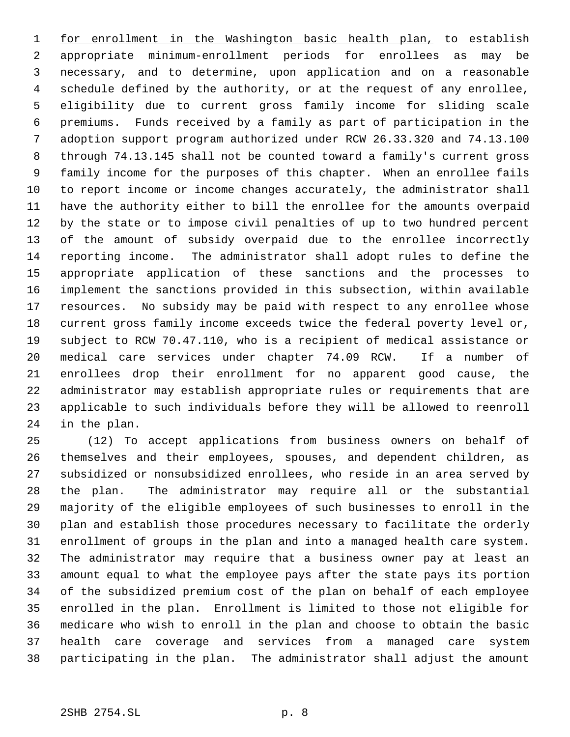1 for enrollment in the Washington basic health plan, to establish appropriate minimum-enrollment periods for enrollees as may be necessary, and to determine, upon application and on a reasonable schedule defined by the authority, or at the request of any enrollee, eligibility due to current gross family income for sliding scale premiums. Funds received by a family as part of participation in the adoption support program authorized under RCW 26.33.320 and 74.13.100 through 74.13.145 shall not be counted toward a family's current gross family income for the purposes of this chapter. When an enrollee fails to report income or income changes accurately, the administrator shall have the authority either to bill the enrollee for the amounts overpaid by the state or to impose civil penalties of up to two hundred percent of the amount of subsidy overpaid due to the enrollee incorrectly reporting income. The administrator shall adopt rules to define the appropriate application of these sanctions and the processes to implement the sanctions provided in this subsection, within available resources. No subsidy may be paid with respect to any enrollee whose current gross family income exceeds twice the federal poverty level or, subject to RCW 70.47.110, who is a recipient of medical assistance or medical care services under chapter 74.09 RCW. If a number of enrollees drop their enrollment for no apparent good cause, the administrator may establish appropriate rules or requirements that are applicable to such individuals before they will be allowed to reenroll in the plan.

 (12) To accept applications from business owners on behalf of themselves and their employees, spouses, and dependent children, as subsidized or nonsubsidized enrollees, who reside in an area served by the plan. The administrator may require all or the substantial majority of the eligible employees of such businesses to enroll in the plan and establish those procedures necessary to facilitate the orderly enrollment of groups in the plan and into a managed health care system. The administrator may require that a business owner pay at least an amount equal to what the employee pays after the state pays its portion of the subsidized premium cost of the plan on behalf of each employee enrolled in the plan. Enrollment is limited to those not eligible for medicare who wish to enroll in the plan and choose to obtain the basic health care coverage and services from a managed care system participating in the plan. The administrator shall adjust the amount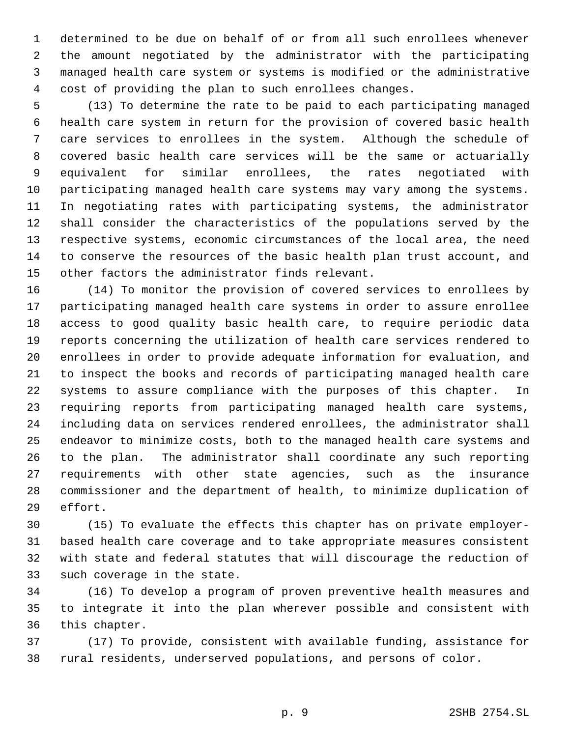determined to be due on behalf of or from all such enrollees whenever the amount negotiated by the administrator with the participating managed health care system or systems is modified or the administrative cost of providing the plan to such enrollees changes.

 (13) To determine the rate to be paid to each participating managed health care system in return for the provision of covered basic health care services to enrollees in the system. Although the schedule of covered basic health care services will be the same or actuarially equivalent for similar enrollees, the rates negotiated with participating managed health care systems may vary among the systems. In negotiating rates with participating systems, the administrator shall consider the characteristics of the populations served by the respective systems, economic circumstances of the local area, the need to conserve the resources of the basic health plan trust account, and other factors the administrator finds relevant.

 (14) To monitor the provision of covered services to enrollees by participating managed health care systems in order to assure enrollee access to good quality basic health care, to require periodic data reports concerning the utilization of health care services rendered to enrollees in order to provide adequate information for evaluation, and to inspect the books and records of participating managed health care systems to assure compliance with the purposes of this chapter. In requiring reports from participating managed health care systems, including data on services rendered enrollees, the administrator shall endeavor to minimize costs, both to the managed health care systems and to the plan. The administrator shall coordinate any such reporting requirements with other state agencies, such as the insurance commissioner and the department of health, to minimize duplication of effort.

 (15) To evaluate the effects this chapter has on private employer- based health care coverage and to take appropriate measures consistent with state and federal statutes that will discourage the reduction of such coverage in the state.

 (16) To develop a program of proven preventive health measures and to integrate it into the plan wherever possible and consistent with this chapter.

 (17) To provide, consistent with available funding, assistance for rural residents, underserved populations, and persons of color.